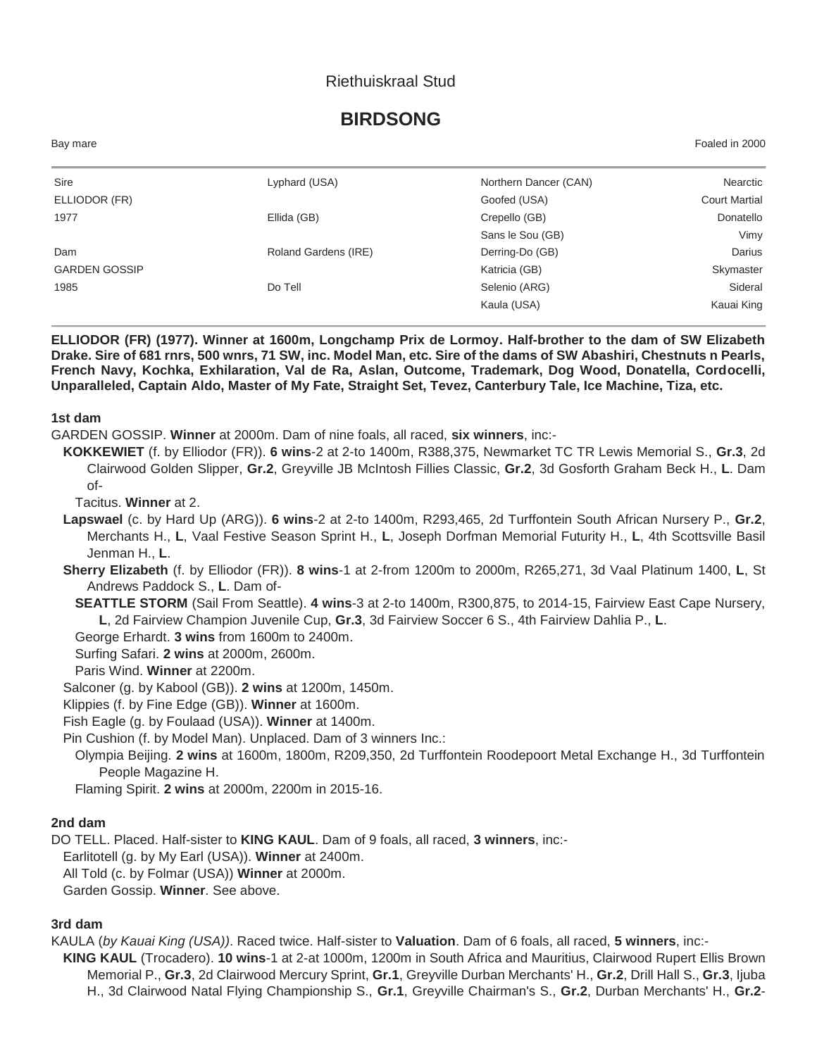### Riethuiskraal Stud

# **BIRDSONG**

| Bay mare             |                      |                       | Foaled in 2000       |
|----------------------|----------------------|-----------------------|----------------------|
| Sire                 | Lyphard (USA)        | Northern Dancer (CAN) | Nearctic             |
| ELLIODOR (FR)        |                      | Goofed (USA)          | <b>Court Martial</b> |
| 1977                 | Ellida (GB)          | Crepello (GB)         | Donatello            |
|                      |                      | Sans le Sou (GB)      | Vimy                 |
| Dam                  | Roland Gardens (IRE) | Derring-Do (GB)       | Darius               |
| <b>GARDEN GOSSIP</b> |                      | Katricia (GB)         | Skymaster            |
| 1985                 | Do Tell              | Selenio (ARG)         | Sideral              |
|                      |                      | Kaula (USA)           | Kauai King           |

**ELLIODOR (FR) (1977). Winner at 1600m, Longchamp Prix de Lormoy. Half-brother to the dam of SW Elizabeth Drake. Sire of 681 rnrs, 500 wnrs, 71 SW, inc. Model Man, etc. Sire of the dams of SW Abashiri, Chestnuts n Pearls, French Navy, Kochka, Exhilaration, Val de Ra, Aslan, Outcome, Trademark, Dog Wood, Donatella, Cordocelli, Unparalleled, Captain Aldo, Master of My Fate, Straight Set, Tevez, Canterbury Tale, Ice Machine, Tiza, etc.**

#### **1st dam**

GARDEN GOSSIP. **Winner** at 2000m. Dam of nine foals, all raced, **six winners**, inc:-

**KOKKEWIET** (f. by Elliodor (FR)). **6 wins**-2 at 2-to 1400m, R388,375, Newmarket TC TR Lewis Memorial S., **Gr.3**, 2d Clairwood Golden Slipper, **Gr.2**, Greyville JB McIntosh Fillies Classic, **Gr.2**, 3d Gosforth Graham Beck H., **L**. Dam of-

Tacitus. **Winner** at 2.

**Lapswael** (c. by Hard Up (ARG)). **6 wins**-2 at 2-to 1400m, R293,465, 2d Turffontein South African Nursery P., **Gr.2**, Merchants H., **L**, Vaal Festive Season Sprint H., **L**, Joseph Dorfman Memorial Futurity H., **L**, 4th Scottsville Basil Jenman H., **L**.

**Sherry Elizabeth** (f. by Elliodor (FR)). **8 wins**-1 at 2-from 1200m to 2000m, R265,271, 3d Vaal Platinum 1400, **L**, St Andrews Paddock S., **L**. Dam of-

**SEATTLE STORM** (Sail From Seattle). **4 wins**-3 at 2-to 1400m, R300,875, to 2014-15, Fairview East Cape Nursery, **L**, 2d Fairview Champion Juvenile Cup, **Gr.3**, 3d Fairview Soccer 6 S., 4th Fairview Dahlia P., **L**.

George Erhardt. **3 wins** from 1600m to 2400m.

Surfing Safari. **2 wins** at 2000m, 2600m.

Paris Wind. **Winner** at 2200m.

Salconer (g. by Kabool (GB)). **2 wins** at 1200m, 1450m.

Klippies (f. by Fine Edge (GB)). **Winner** at 1600m.

Fish Eagle (g. by Foulaad (USA)). **Winner** at 1400m.

Pin Cushion (f. by Model Man). Unplaced. Dam of 3 winners Inc.:

Olympia Beijing. **2 wins** at 1600m, 1800m, R209,350, 2d Turffontein Roodepoort Metal Exchange H., 3d Turffontein People Magazine H.

Flaming Spirit. **2 wins** at 2000m, 2200m in 2015-16.

#### **2nd dam**

DO TELL. Placed. Half-sister to **KING KAUL**. Dam of 9 foals, all raced, **3 winners**, inc:-

Earlitotell (g. by My Earl (USA)). **Winner** at 2400m.

All Told (c. by Folmar (USA)) **Winner** at 2000m.

Garden Gossip. **Winner**. See above.

## **3rd dam**

KAULA (*by Kauai King (USA))*. Raced twice. Half-sister to **Valuation**. Dam of 6 foals, all raced, **5 winners**, inc:-

**KING KAUL** (Trocadero). **10 wins**-1 at 2-at 1000m, 1200m in South Africa and Mauritius, Clairwood Rupert Ellis Brown Memorial P., **Gr.3**, 2d Clairwood Mercury Sprint, **Gr.1**, Greyville Durban Merchants' H., **Gr.2**, Drill Hall S., **Gr.3**, Ijuba H., 3d Clairwood Natal Flying Championship S., **Gr.1**, Greyville Chairman's S., **Gr.2**, Durban Merchants' H., **Gr.2**-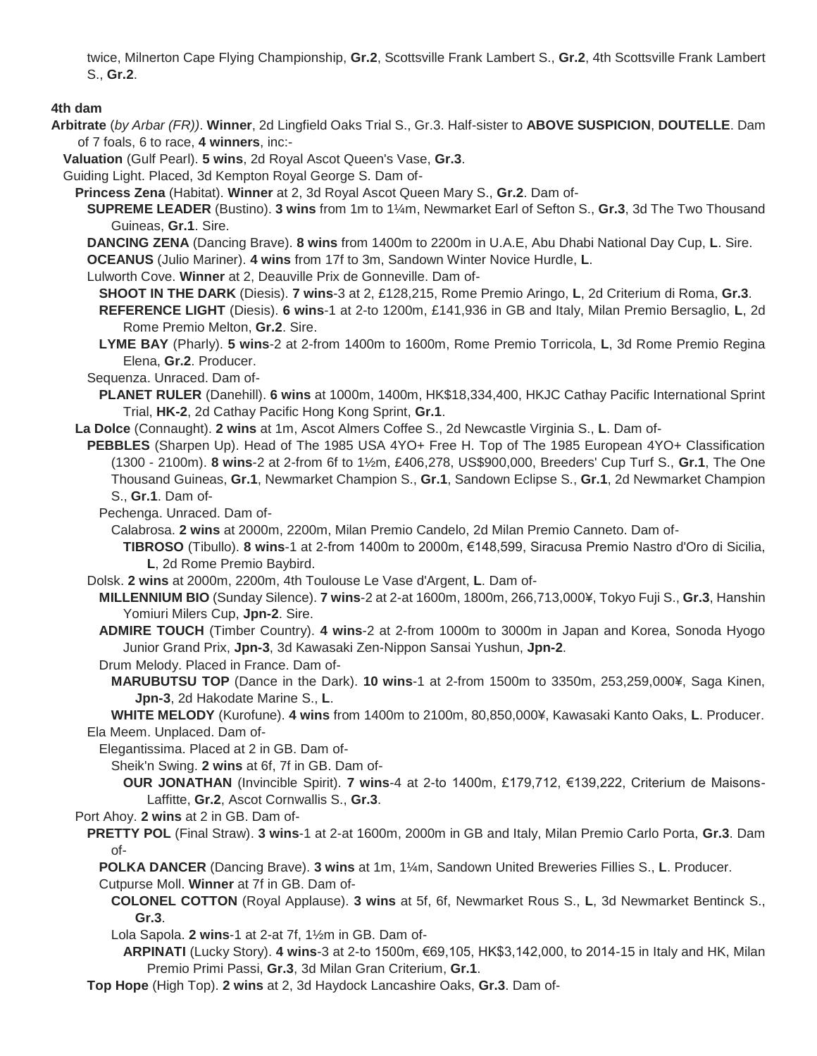twice, Milnerton Cape Flying Championship, **Gr.2**, Scottsville Frank Lambert S., **Gr.2**, 4th Scottsville Frank Lambert S., **Gr.2**.

#### **4th dam**

**Arbitrate** (*by Arbar (FR))*. **Winner**, 2d Lingfield Oaks Trial S., Gr.3. Half-sister to **ABOVE SUSPICION**, **DOUTELLE**. Dam of 7 foals, 6 to race, **4 winners**, inc:-

**Valuation** (Gulf Pearl). **5 wins**, 2d Royal Ascot Queen's Vase, **Gr.3**.

Guiding Light. Placed, 3d Kempton Royal George S. Dam of-

**Princess Zena** (Habitat). **Winner** at 2, 3d Royal Ascot Queen Mary S., **Gr.2**. Dam of-

**SUPREME LEADER** (Bustino). **3 wins** from 1m to 1¼m, Newmarket Earl of Sefton S., **Gr.3**, 3d The Two Thousand Guineas, **Gr.1**. Sire.

**DANCING ZENA** (Dancing Brave). **8 wins** from 1400m to 2200m in U.A.E, Abu Dhabi National Day Cup, **L**. Sire.

**OCEANUS** (Julio Mariner). **4 wins** from 17f to 3m, Sandown Winter Novice Hurdle, **L**.

Lulworth Cove. **Winner** at 2, Deauville Prix de Gonneville. Dam of-

- **SHOOT IN THE DARK** (Diesis). **7 wins**-3 at 2, £128,215, Rome Premio Aringo, **L**, 2d Criterium di Roma, **Gr.3**.
- **REFERENCE LIGHT** (Diesis). **6 wins**-1 at 2-to 1200m, £141,936 in GB and Italy, Milan Premio Bersaglio, **L**, 2d Rome Premio Melton, **Gr.2**. Sire.
- **LYME BAY** (Pharly). **5 wins**-2 at 2-from 1400m to 1600m, Rome Premio Torricola, **L**, 3d Rome Premio Regina Elena, **Gr.2**. Producer.

Sequenza. Unraced. Dam of-

**PLANET RULER** (Danehill). **6 wins** at 1000m, 1400m, HK\$18,334,400, HKJC Cathay Pacific International Sprint Trial, **HK-2**, 2d Cathay Pacific Hong Kong Sprint, **Gr.1**.

- **La Dolce** (Connaught). **2 wins** at 1m, Ascot Almers Coffee S., 2d Newcastle Virginia S., **L**. Dam of-
- **PEBBLES** (Sharpen Up). Head of The 1985 USA 4YO+ Free H. Top of The 1985 European 4YO+ Classification (1300 - 2100m). **8 wins**-2 at 2-from 6f to 1½m, £406,278, US\$900,000, Breeders' Cup Turf S., **Gr.1**, The One Thousand Guineas, **Gr.1**, Newmarket Champion S., **Gr.1**, Sandown Eclipse S., **Gr.1**, 2d Newmarket Champion S., **Gr.1**. Dam of-

Pechenga. Unraced. Dam of-

Calabrosa. **2 wins** at 2000m, 2200m, Milan Premio Candelo, 2d Milan Premio Canneto. Dam of-

**TIBROSO** (Tibullo). **8 wins**-1 at 2-from 1400m to 2000m, €148,599, Siracusa Premio Nastro d'Oro di Sicilia, **L**, 2d Rome Premio Baybird.

Dolsk. **2 wins** at 2000m, 2200m, 4th Toulouse Le Vase d'Argent, **L**. Dam of-

- **MILLENNIUM BIO** (Sunday Silence). **7 wins**-2 at 2-at 1600m, 1800m, 266,713,000¥, Tokyo Fuji S., **Gr.3**, Hanshin Yomiuri Milers Cup, **Jpn-2**. Sire.
- **ADMIRE TOUCH** (Timber Country). **4 wins**-2 at 2-from 1000m to 3000m in Japan and Korea, Sonoda Hyogo Junior Grand Prix, **Jpn-3**, 3d Kawasaki Zen-Nippon Sansai Yushun, **Jpn-2**.
- Drum Melody. Placed in France. Dam of-
	- **MARUBUTSU TOP** (Dance in the Dark). **10 wins**-1 at 2-from 1500m to 3350m, 253,259,000¥, Saga Kinen, **Jpn-3**, 2d Hakodate Marine S., **L**.

**WHITE MELODY** (Kurofune). **4 wins** from 1400m to 2100m, 80,850,000¥, Kawasaki Kanto Oaks, **L**. Producer. Ela Meem. Unplaced. Dam of-

Elegantissima. Placed at 2 in GB. Dam of-

Sheik'n Swing. **2 wins** at 6f, 7f in GB. Dam of-

**OUR JONATHAN** (Invincible Spirit). **7 wins**-4 at 2-to 1400m, £179,712, €139,222, Criterium de Maisons-Laffitte, **Gr.2**, Ascot Cornwallis S., **Gr.3**.

Port Ahoy. **2 wins** at 2 in GB. Dam of-

**PRETTY POL** (Final Straw). **3 wins**-1 at 2-at 1600m, 2000m in GB and Italy, Milan Premio Carlo Porta, **Gr.3**. Dam of-

**POLKA DANCER** (Dancing Brave). **3 wins** at 1m, 1¼m, Sandown United Breweries Fillies S., **L**. Producer. Cutpurse Moll. **Winner** at 7f in GB. Dam of-

- **COLONEL COTTON** (Royal Applause). **3 wins** at 5f, 6f, Newmarket Rous S., **L**, 3d Newmarket Bentinck S., **Gr.3**.
- Lola Sapola. **2 wins**-1 at 2-at 7f, 1½m in GB. Dam of-

**ARPINATI** (Lucky Story). **4 wins**-3 at 2-to 1500m, €69,105, HK\$3,142,000, to 2014-15 in Italy and HK, Milan Premio Primi Passi, **Gr.3**, 3d Milan Gran Criterium, **Gr.1**.

**Top Hope** (High Top). **2 wins** at 2, 3d Haydock Lancashire Oaks, **Gr.3**. Dam of-